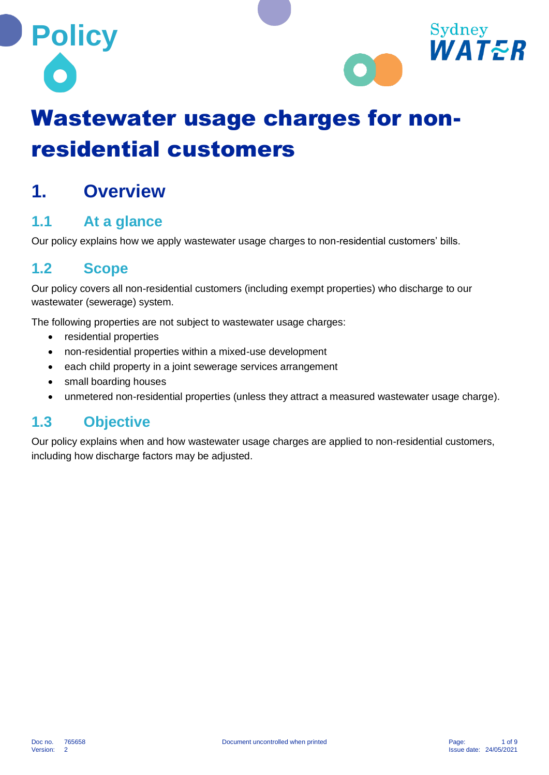



# Wastewater usage charges for nonresidential customers

## **1. Overview**

#### **1.1 At a glance**

Our policy explains how we apply wastewater usage charges to non-residential customers' bills.

#### **1.2 Scope**

Our policy covers all non-residential customers (including exempt properties) who discharge to our wastewater (sewerage) system.

The following properties are not subject to wastewater usage charges:

- residential properties
- non-residential properties within a mixed-use development
- each child property in a joint sewerage services arrangement
- small boarding houses
- unmetered non-residential properties (unless they attract a measured wastewater usage charge).

#### **1.3 Objective**

Our policy explains when and how wastewater usage charges are applied to non-residential customers, including how discharge factors may be adjusted.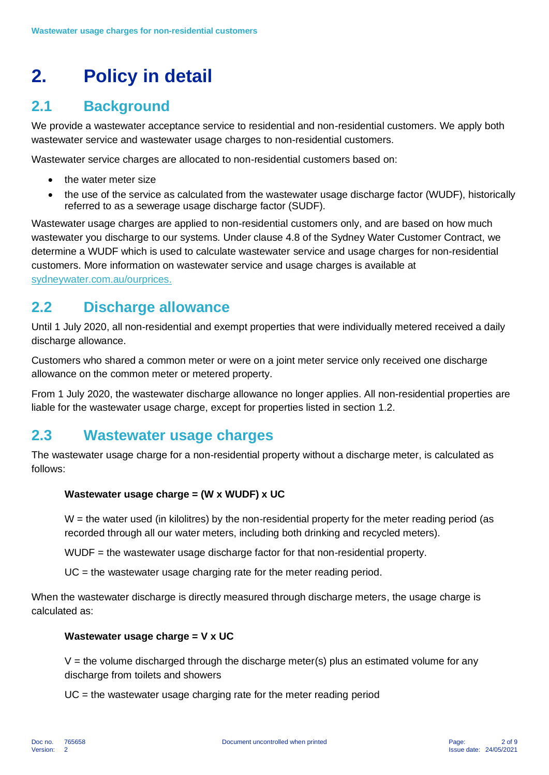## **2. Policy in detail**

#### **2.1 Background**

We provide a wastewater acceptance service to residential and non-residential customers. We apply both wastewater service and wastewater usage charges to non-residential customers.

Wastewater service charges are allocated to non-residential customers based on:

- the water meter size
- the use of the service as calculated from the wastewater usage discharge factor (WUDF), historically referred to as a sewerage usage discharge factor (SUDF).

Wastewater usage charges are applied to non-residential customers only, and are based on how much wastewater you discharge to our systems. Under clause 4.8 of the Sydney Water Customer Contract, we determine a WUDF which is used to calculate wastewater service and usage charges for non-residential customers. More information on wastewater service and usage charges is available at sydneywater.com.au/ourprices.

#### **2.2 Discharge allowance**

Until 1 July 2020, all non-residential and exempt properties that were individually metered received a daily discharge allowance.

Customers who shared a common meter or were on a joint meter service only received one discharge allowance on the common meter or metered property.

From 1 July 2020, the wastewater discharge allowance no longer applies. All non-residential properties are liable for the wastewater usage charge, except for properties listed in section 1.2.

#### **2.3 Wastewater usage charges**

The wastewater usage charge for a non-residential property without a discharge meter, is calculated as follows:

#### **Wastewater usage charge = (W x WUDF) x UC**

 $W =$  the water used (in kilolitres) by the non-residential property for the meter reading period (as recorded through all our water meters, including both drinking and recycled meters).

WUDF = the wastewater usage discharge factor for that non-residential property.

UC = the wastewater usage charging rate for the meter reading period.

When the wastewater discharge is directly measured through discharge meters, the usage charge is calculated as:

#### **Wastewater usage charge = V x UC**

 $V =$  the volume discharged through the discharge meter(s) plus an estimated volume for any discharge from toilets and showers

UC = the wastewater usage charging rate for the meter reading period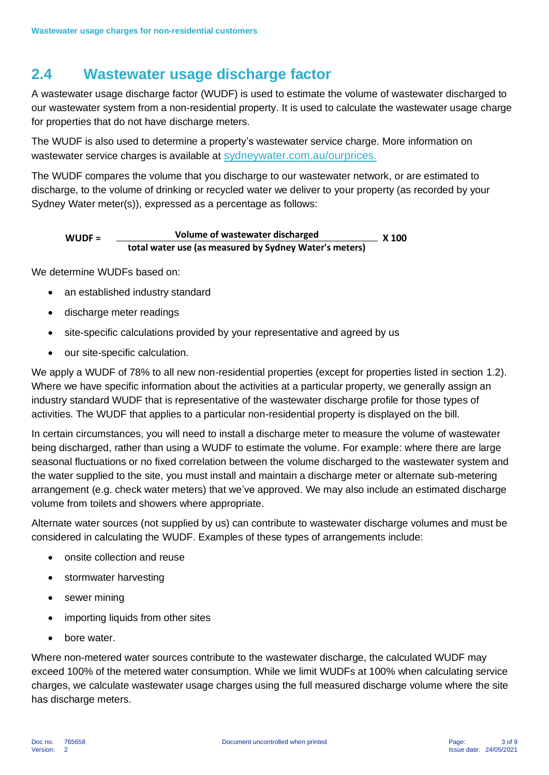#### **2.4 Wastewater usage discharge factor**

A wastewater usage discharge factor (WUDF) is used to estimate the volume of wastewater discharged to our wastewater system from a non-residential property. It is used to calculate the wastewater usage charge for properties that do not have discharge meters.

The WUDF is also used to determine a property's wastewater service charge. More information on wastewater service charges is available at sydneywater.com.au/ourprices.

The WUDF compares the volume that you discharge to our wastewater network, or are estimated to discharge, to the volume of drinking or recycled water we deliver to your property (as recorded by your Sydney Water meter(s)), expressed as a percentage as follows:

#### **WUDF = Volume of wastewater discharged X 100 total water use (as measured by Sydney Water's meters)**

We determine WUDFs based on:

- an established industry standard
- discharge meter readings
- site-specific calculations provided by your representative and agreed by us
- our site-specific calculation.

We apply a WUDF of 78% to all new non-residential properties (except for properties listed in section 1.2). Where we have specific information about the activities at a particular property, we generally assign an industry standard WUDF that is representative of the wastewater discharge profile for those types of activities. The WUDF that applies to a particular non-residential property is displayed on the bill.

In certain circumstances, you will need to install a discharge meter to measure the volume of wastewater being discharged, rather than using a WUDF to estimate the volume. For example: where there are large seasonal fluctuations or no fixed correlation between the volume discharged to the wastewater system and the water supplied to the site, you must install and maintain a discharge meter or alternate sub-metering arrangement (e.g. check water meters) that we've approved. We may also include an estimated discharge volume from toilets and showers where appropriate.

Alternate water sources (not supplied by us) can contribute to wastewater discharge volumes and must be considered in calculating the WUDF. Examples of these types of arrangements include:

- onsite collection and reuse
- stormwater harvesting
- sewer mining
- importing liquids from other sites
- bore water.

Where non-metered water sources contribute to the wastewater discharge, the calculated WUDF may exceed 100% of the metered water consumption. While we limit WUDFs at 100% when calculating service charges, we calculate wastewater usage charges using the full measured discharge volume where the site has discharge meters.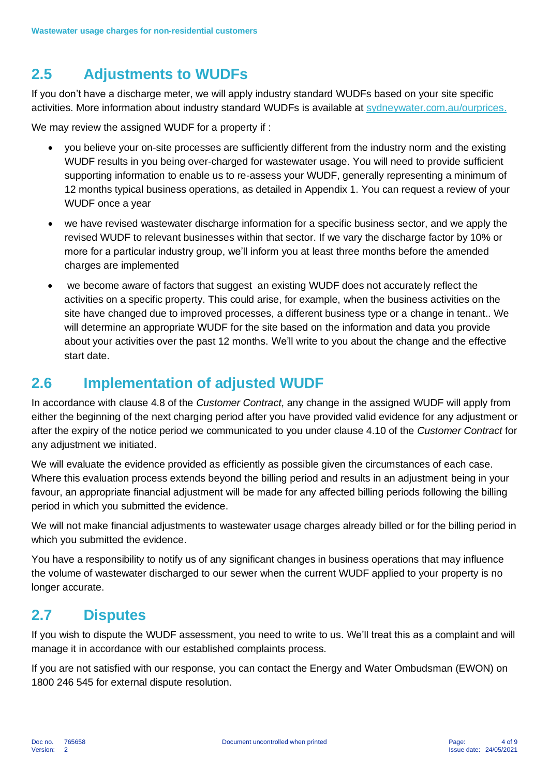#### **2.5 Adjustments to WUDFs**

If you don't have a discharge meter, we will apply industry standard WUDFs based on your site specific activities. More information about industry standard WUDFs is available at sydneywater.com.au/ourprices.

We may review the assigned WUDF for a property if :

- you believe your on-site processes are sufficiently different from the industry norm and the existing WUDF results in you being over-charged for wastewater usage. You will need to provide sufficient supporting information to enable us to re-assess your WUDF, generally representing a minimum of 12 months typical business operations, as detailed in Appendix 1. You can request a review of your WUDF once a year
- we have revised wastewater discharge information for a specific business sector, and we apply the revised WUDF to relevant businesses within that sector. If we vary the discharge factor by 10% or more for a particular industry group, we'll inform you at least three months before the amended charges are implemented
- we become aware of factors that suggest an existing WUDF does not accurately reflect the activities on a specific property. This could arise, for example, when the business activities on the site have changed due to improved processes, a different business type or a change in tenant.. We will determine an appropriate WUDF for the site based on the information and data you provide about your activities over the past 12 months. We'll write to you about the change and the effective start date.

#### **2.6 Implementation of adjusted WUDF**

In accordance with clause 4.8 of the *Customer Contract*, any change in the assigned WUDF will apply from either the beginning of the next charging period after you have provided valid evidence for any adjustment or after the expiry of the notice period we communicated to you under clause 4.10 of the *Customer Contract* for any adjustment we initiated.

We will evaluate the evidence provided as efficiently as possible given the circumstances of each case. Where this evaluation process extends beyond the billing period and results in an adjustment being in your favour, an appropriate financial adjustment will be made for any affected billing periods following the billing period in which you submitted the evidence.

We will not make financial adjustments to wastewater usage charges already billed or for the billing period in which you submitted the evidence.

You have a responsibility to notify us of any significant changes in business operations that may influence the volume of wastewater discharged to our sewer when the current WUDF applied to your property is no longer accurate.

#### **2.7 Disputes**

If you wish to dispute the WUDF assessment, you need to write to us. We'll treat this as a complaint and will manage it in accordance with our established complaints process.

If you are not satisfied with our response, you can contact the Energy and Water Ombudsman (EWON) on 1800 246 545 for external dispute resolution.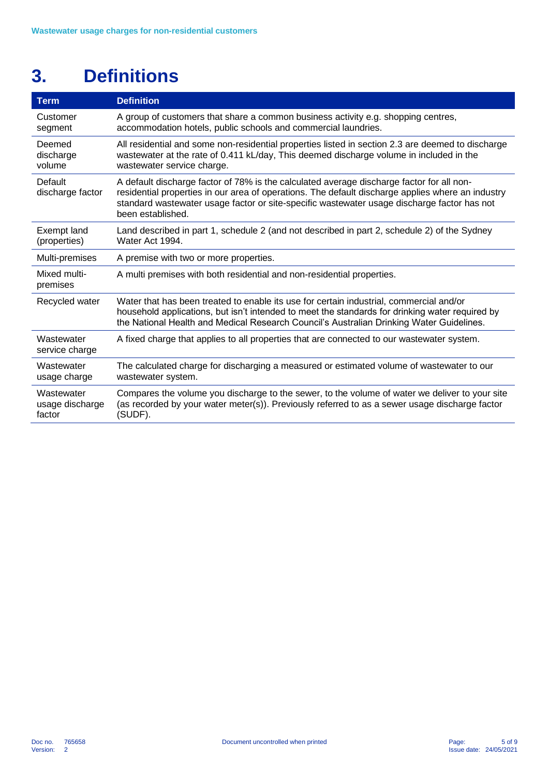## **3. Definitions**

| <b>Term</b>                             | <b>Definition</b>                                                                                                                                                                                                                                                                                                  |
|-----------------------------------------|--------------------------------------------------------------------------------------------------------------------------------------------------------------------------------------------------------------------------------------------------------------------------------------------------------------------|
| Customer<br>segment                     | A group of customers that share a common business activity e.g. shopping centres,<br>accommodation hotels, public schools and commercial laundries.                                                                                                                                                                |
| Deemed<br>discharge<br>volume           | All residential and some non-residential properties listed in section 2.3 are deemed to discharge<br>wastewater at the rate of 0.411 kL/day, This deemed discharge volume in included in the<br>wastewater service charge.                                                                                         |
| Default<br>discharge factor             | A default discharge factor of 78% is the calculated average discharge factor for all non-<br>residential properties in our area of operations. The default discharge applies where an industry<br>standard wastewater usage factor or site-specific wastewater usage discharge factor has not<br>been established. |
| Exempt land<br>(properties)             | Land described in part 1, schedule 2 (and not described in part 2, schedule 2) of the Sydney<br>Water Act 1994.                                                                                                                                                                                                    |
| Multi-premises                          | A premise with two or more properties.                                                                                                                                                                                                                                                                             |
| Mixed multi-<br>premises                | A multi premises with both residential and non-residential properties.                                                                                                                                                                                                                                             |
| Recycled water                          | Water that has been treated to enable its use for certain industrial, commercial and/or<br>household applications, but isn't intended to meet the standards for drinking water required by<br>the National Health and Medical Research Council's Australian Drinking Water Guidelines.                             |
| Wastewater<br>service charge            | A fixed charge that applies to all properties that are connected to our wastewater system.                                                                                                                                                                                                                         |
| Wastewater<br>usage charge              | The calculated charge for discharging a measured or estimated volume of wastewater to our<br>wastewater system.                                                                                                                                                                                                    |
| Wastewater<br>usage discharge<br>factor | Compares the volume you discharge to the sewer, to the volume of water we deliver to your site<br>(as recorded by your water meter(s)). Previously referred to as a sewer usage discharge factor<br>(SUDF).                                                                                                        |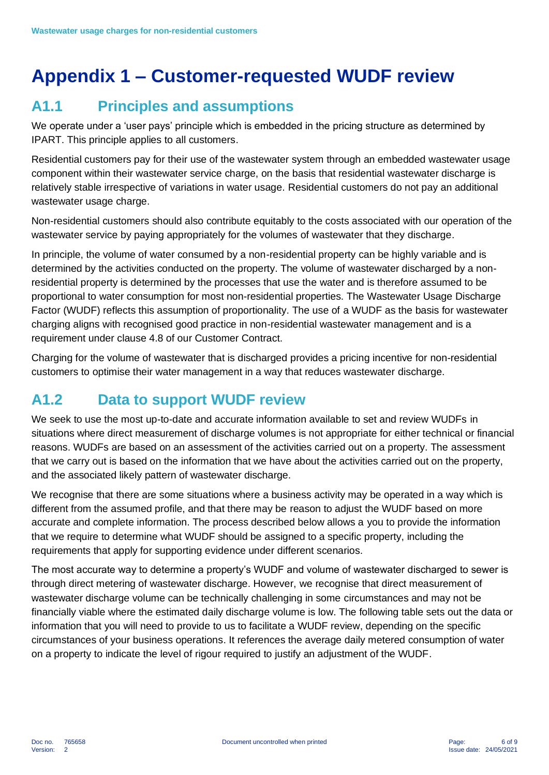## **Appendix 1 – Customer-requested WUDF review**

### **A1.1 Principles and assumptions**

We operate under a 'user pays' principle which is embedded in the pricing structure as determined by IPART. This principle applies to all customers.

Residential customers pay for their use of the wastewater system through an embedded wastewater usage component within their wastewater service charge, on the basis that residential wastewater discharge is relatively stable irrespective of variations in water usage. Residential customers do not pay an additional wastewater usage charge.

Non-residential customers should also contribute equitably to the costs associated with our operation of the wastewater service by paying appropriately for the volumes of wastewater that they discharge.

In principle, the volume of water consumed by a non-residential property can be highly variable and is determined by the activities conducted on the property. The volume of wastewater discharged by a nonresidential property is determined by the processes that use the water and is therefore assumed to be proportional to water consumption for most non-residential properties. The Wastewater Usage Discharge Factor (WUDF) reflects this assumption of proportionality. The use of a WUDF as the basis for wastewater charging aligns with recognised good practice in non-residential wastewater management and is a requirement under clause 4.8 of our Customer Contract.

Charging for the volume of wastewater that is discharged provides a pricing incentive for non-residential customers to optimise their water management in a way that reduces wastewater discharge.

### **A1.2 Data to support WUDF review**

We seek to use the most up-to-date and accurate information available to set and review WUDFs in situations where direct measurement of discharge volumes is not appropriate for either technical or financial reasons. WUDFs are based on an assessment of the activities carried out on a property. The assessment that we carry out is based on the information that we have about the activities carried out on the property, and the associated likely pattern of wastewater discharge.

We recognise that there are some situations where a business activity may be operated in a way which is different from the assumed profile, and that there may be reason to adjust the WUDF based on more accurate and complete information. The process described below allows a you to provide the information that we require to determine what WUDF should be assigned to a specific property, including the requirements that apply for supporting evidence under different scenarios.

The most accurate way to determine a property's WUDF and volume of wastewater discharged to sewer is through direct metering of wastewater discharge. However, we recognise that direct measurement of wastewater discharge volume can be technically challenging in some circumstances and may not be financially viable where the estimated daily discharge volume is low. The following table sets out the data or information that you will need to provide to us to facilitate a WUDF review, depending on the specific circumstances of your business operations. It references the average daily metered consumption of water on a property to indicate the level of rigour required to justify an adjustment of the WUDF.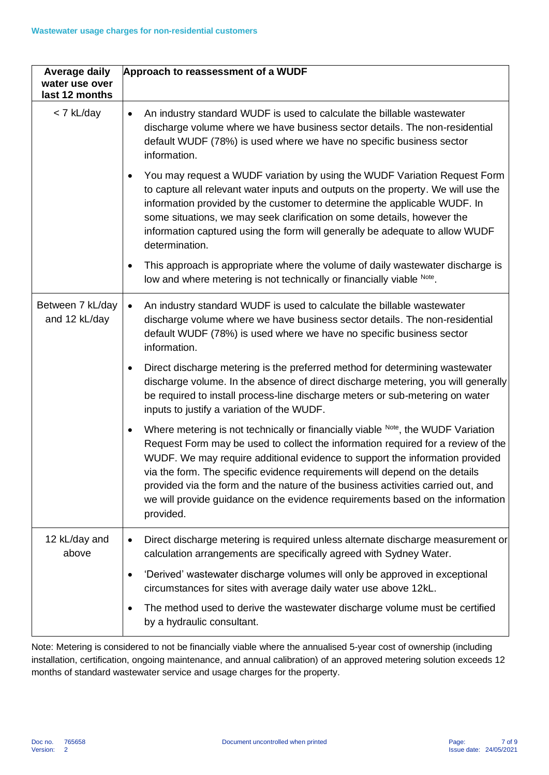| <b>Average daily</b>              | Approach to reassessment of a WUDF                                                                                                                                                                                                                                                                                                                                                                                                                                                                                                  |
|-----------------------------------|-------------------------------------------------------------------------------------------------------------------------------------------------------------------------------------------------------------------------------------------------------------------------------------------------------------------------------------------------------------------------------------------------------------------------------------------------------------------------------------------------------------------------------------|
| water use over<br>last 12 months  |                                                                                                                                                                                                                                                                                                                                                                                                                                                                                                                                     |
| < 7 kL/day                        | An industry standard WUDF is used to calculate the billable wastewater<br>$\bullet$<br>discharge volume where we have business sector details. The non-residential<br>default WUDF (78%) is used where we have no specific business sector<br>information.                                                                                                                                                                                                                                                                          |
|                                   | You may request a WUDF variation by using the WUDF Variation Request Form<br>$\bullet$<br>to capture all relevant water inputs and outputs on the property. We will use the<br>information provided by the customer to determine the applicable WUDF. In<br>some situations, we may seek clarification on some details, however the<br>information captured using the form will generally be adequate to allow WUDF<br>determination.                                                                                               |
|                                   | This approach is appropriate where the volume of daily wastewater discharge is<br>$\bullet$<br>low and where metering is not technically or financially viable Note.                                                                                                                                                                                                                                                                                                                                                                |
| Between 7 kL/day<br>and 12 kL/day | An industry standard WUDF is used to calculate the billable wastewater<br>$\bullet$<br>discharge volume where we have business sector details. The non-residential<br>default WUDF (78%) is used where we have no specific business sector<br>information.                                                                                                                                                                                                                                                                          |
|                                   | Direct discharge metering is the preferred method for determining wastewater<br>$\bullet$<br>discharge volume. In the absence of direct discharge metering, you will generally<br>be required to install process-line discharge meters or sub-metering on water<br>inputs to justify a variation of the WUDF.                                                                                                                                                                                                                       |
|                                   | Where metering is not technically or financially viable Note, the WUDF Variation<br>$\bullet$<br>Request Form may be used to collect the information required for a review of the<br>WUDF. We may require additional evidence to support the information provided<br>via the form. The specific evidence requirements will depend on the details<br>provided via the form and the nature of the business activities carried out, and<br>we will provide guidance on the evidence requirements based on the information<br>provided. |
| 12 kL/day and<br>above            | Direct discharge metering is required unless alternate discharge measurement or<br>$\bullet$<br>calculation arrangements are specifically agreed with Sydney Water.                                                                                                                                                                                                                                                                                                                                                                 |
|                                   | 'Derived' wastewater discharge volumes will only be approved in exceptional<br>$\bullet$<br>circumstances for sites with average daily water use above 12kL.                                                                                                                                                                                                                                                                                                                                                                        |
|                                   | The method used to derive the wastewater discharge volume must be certified<br>$\bullet$<br>by a hydraulic consultant.                                                                                                                                                                                                                                                                                                                                                                                                              |

Note: Metering is considered to not be financially viable where the annualised 5-year cost of ownership (including installation, certification, ongoing maintenance, and annual calibration) of an approved metering solution exceeds 12 months of standard wastewater service and usage charges for the property.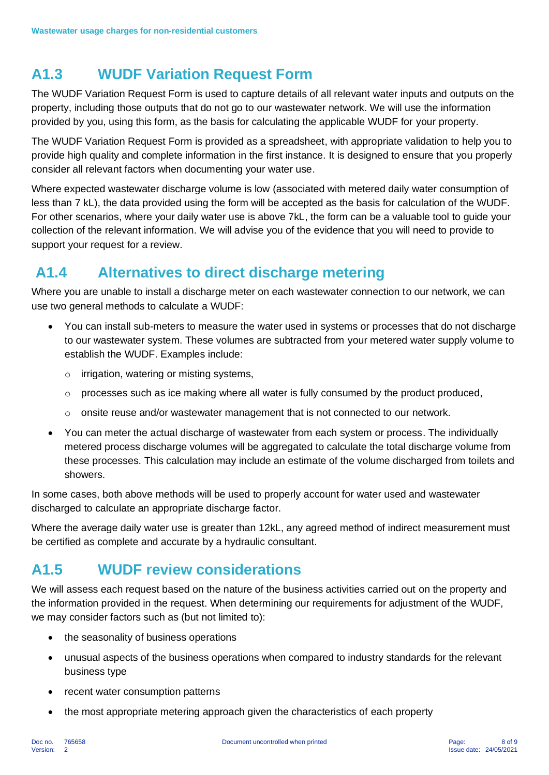### **A1.3 WUDF Variation Request Form**

The WUDF Variation Request Form is used to capture details of all relevant water inputs and outputs on the property, including those outputs that do not go to our wastewater network. We will use the information provided by you, using this form, as the basis for calculating the applicable WUDF for your property.

The WUDF Variation Request Form is provided as a spreadsheet, with appropriate validation to help you to provide high quality and complete information in the first instance. It is designed to ensure that you properly consider all relevant factors when documenting your water use.

Where expected wastewater discharge volume is low (associated with metered daily water consumption of less than 7 kL), the data provided using the form will be accepted as the basis for calculation of the WUDF. For other scenarios, where your daily water use is above 7kL, the form can be a valuable tool to guide your collection of the relevant information. We will advise you of the evidence that you will need to provide to support your request for a review.

#### **A1.4 Alternatives to direct discharge metering**

Where you are unable to install a discharge meter on each wastewater connection to our network, we can use two general methods to calculate a WUDF:

- You can install sub-meters to measure the water used in systems or processes that do not discharge to our wastewater system. These volumes are subtracted from your metered water supply volume to establish the WUDF. Examples include:
	- o irrigation, watering or misting systems,
	- o processes such as ice making where all water is fully consumed by the product produced,
	- $\circ$  onsite reuse and/or wastewater management that is not connected to our network.
- You can meter the actual discharge of wastewater from each system or process. The individually metered process discharge volumes will be aggregated to calculate the total discharge volume from these processes. This calculation may include an estimate of the volume discharged from toilets and showers.

In some cases, both above methods will be used to properly account for water used and wastewater discharged to calculate an appropriate discharge factor.

Where the average daily water use is greater than 12kL, any agreed method of indirect measurement must be certified as complete and accurate by a hydraulic consultant.

#### **A1.5 WUDF review considerations**

We will assess each request based on the nature of the business activities carried out on the property and the information provided in the request. When determining our requirements for adjustment of the WUDF, we may consider factors such as (but not limited to):

- the seasonality of business operations
- unusual aspects of the business operations when compared to industry standards for the relevant business type
- recent water consumption patterns
- the most appropriate metering approach given the characteristics of each property